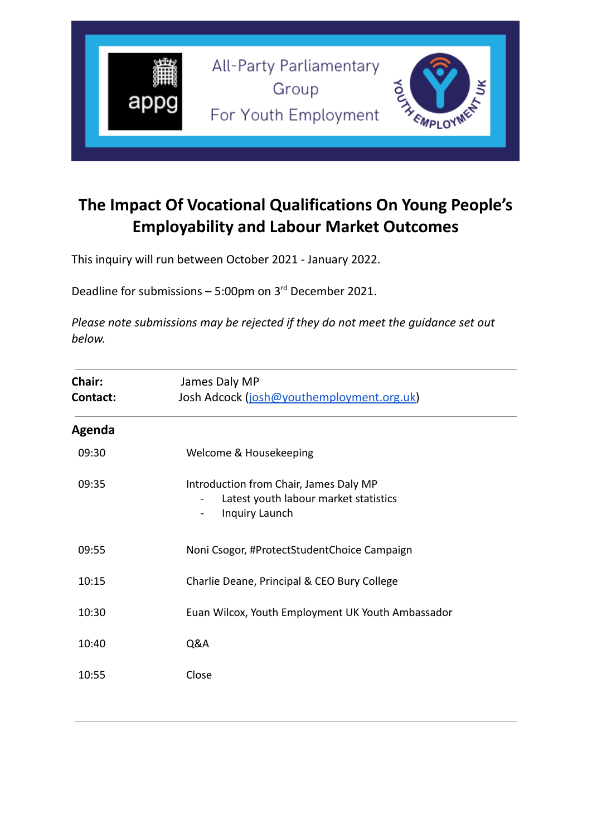

# **The Impact Of Vocational Qualifications On Young People's Employability and Labour Market Outcomes**

This inquiry will run between October 2021 - January 2022.

Deadline for submissions  $-5:00$ pm on  $3<sup>rd</sup>$  December 2021.

*Please note submissions may be rejected if they do not meet the guidance set out below.*

| <b>Chair:</b><br><b>Contact:</b> | James Daly MP<br>Josh Adcock (josh@youthemployment.org.uk)                                                          |  |
|----------------------------------|---------------------------------------------------------------------------------------------------------------------|--|
| Agenda                           |                                                                                                                     |  |
| 09:30                            | Welcome & Housekeeping                                                                                              |  |
| 09:35                            | Introduction from Chair, James Daly MP<br>Latest youth labour market statistics<br>Inquiry Launch<br>$\blacksquare$ |  |
| 09:55                            | Noni Csogor, #ProtectStudentChoice Campaign                                                                         |  |
| 10:15                            | Charlie Deane, Principal & CEO Bury College                                                                         |  |
| 10:30                            | Euan Wilcox, Youth Employment UK Youth Ambassador                                                                   |  |
| 10:40                            | Q&A                                                                                                                 |  |
| 10:55                            | Close                                                                                                               |  |
|                                  |                                                                                                                     |  |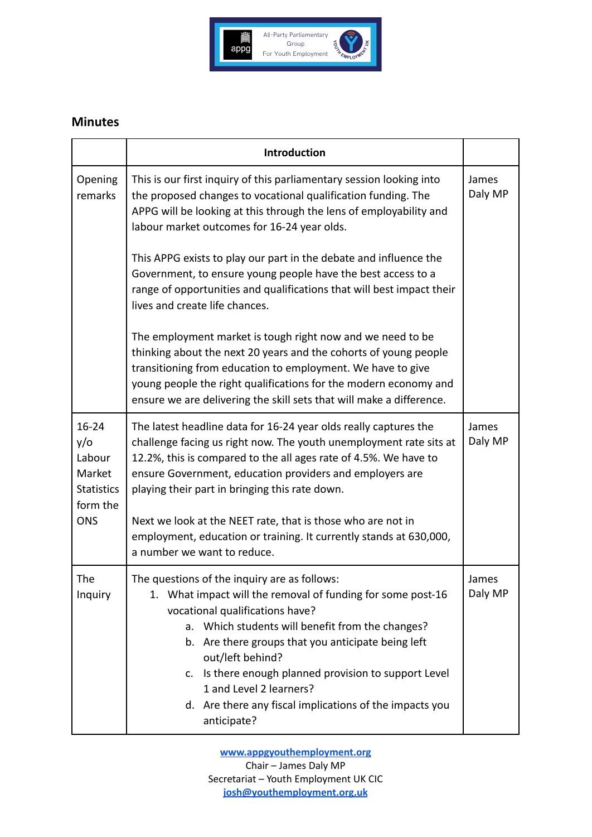

#### **Minutes**

|                                                                                     | Introduction                                                                                                                                                                                                                                                                                                                                                                                                                                                                                                                                                                                                                                                                                                                                                                                                                                            |                  |
|-------------------------------------------------------------------------------------|---------------------------------------------------------------------------------------------------------------------------------------------------------------------------------------------------------------------------------------------------------------------------------------------------------------------------------------------------------------------------------------------------------------------------------------------------------------------------------------------------------------------------------------------------------------------------------------------------------------------------------------------------------------------------------------------------------------------------------------------------------------------------------------------------------------------------------------------------------|------------------|
| Opening<br>remarks                                                                  | This is our first inquiry of this parliamentary session looking into<br>the proposed changes to vocational qualification funding. The<br>APPG will be looking at this through the lens of employability and<br>labour market outcomes for 16-24 year olds.<br>This APPG exists to play our part in the debate and influence the<br>Government, to ensure young people have the best access to a<br>range of opportunities and qualifications that will best impact their<br>lives and create life chances.<br>The employment market is tough right now and we need to be<br>thinking about the next 20 years and the cohorts of young people<br>transitioning from education to employment. We have to give<br>young people the right qualifications for the modern economy and<br>ensure we are delivering the skill sets that will make a difference. | James<br>Daly MP |
| $16 - 24$<br>y/o<br>Labour<br>Market<br><b>Statistics</b><br>form the<br><b>ONS</b> | The latest headline data for 16-24 year olds really captures the<br>challenge facing us right now. The youth unemployment rate sits at<br>12.2%, this is compared to the all ages rate of 4.5%. We have to<br>ensure Government, education providers and employers are<br>playing their part in bringing this rate down.<br>Next we look at the NEET rate, that is those who are not in<br>employment, education or training. It currently stands at 630,000,<br>a number we want to reduce.                                                                                                                                                                                                                                                                                                                                                            | James<br>Daly MP |
| The<br>Inquiry                                                                      | The questions of the inquiry are as follows:<br>What impact will the removal of funding for some post-16<br>1.<br>vocational qualifications have?<br>Which students will benefit from the changes?<br>а.<br>b. Are there groups that you anticipate being left<br>out/left behind?<br>Is there enough planned provision to support Level<br>c.<br>1 and Level 2 learners?<br>d. Are there any fiscal implications of the impacts you<br>anticipate?                                                                                                                                                                                                                                                                                                                                                                                                     | James<br>Daly MP |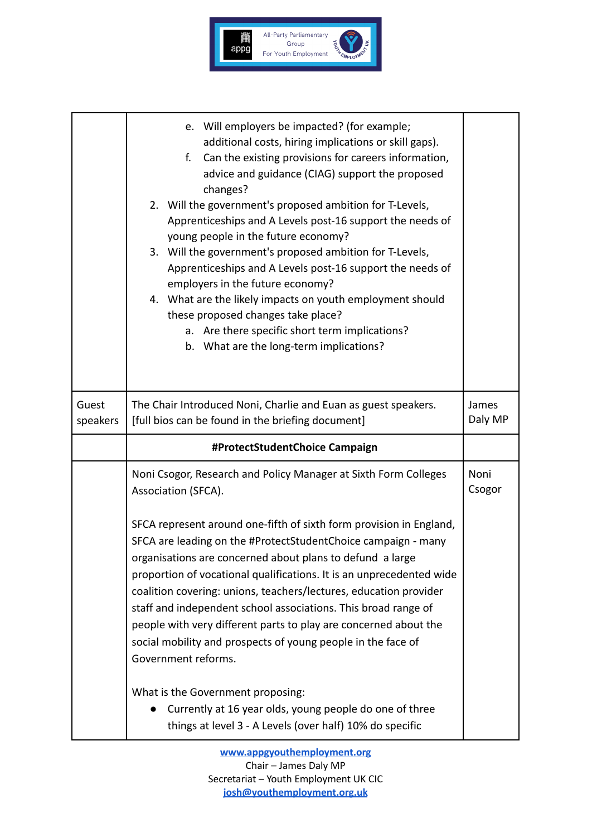

|                   | e. Will employers be impacted? (for example;<br>additional costs, hiring implications or skill gaps).<br>Can the existing provisions for careers information,<br>f.<br>advice and guidance (CIAG) support the proposed<br>changes?<br>2. Will the government's proposed ambition for T-Levels,<br>Apprenticeships and A Levels post-16 support the needs of<br>young people in the future economy?<br>3. Will the government's proposed ambition for T-Levels,<br>Apprenticeships and A Levels post-16 support the needs of<br>employers in the future economy?<br>4. What are the likely impacts on youth employment should<br>these proposed changes take place?<br>a. Are there specific short term implications?<br>b. What are the long-term implications? |  |
|-------------------|-----------------------------------------------------------------------------------------------------------------------------------------------------------------------------------------------------------------------------------------------------------------------------------------------------------------------------------------------------------------------------------------------------------------------------------------------------------------------------------------------------------------------------------------------------------------------------------------------------------------------------------------------------------------------------------------------------------------------------------------------------------------|--|
| Guest<br>speakers | The Chair Introduced Noni, Charlie and Euan as guest speakers.<br>[full bios can be found in the briefing document]                                                                                                                                                                                                                                                                                                                                                                                                                                                                                                                                                                                                                                             |  |
|                   | #ProtectStudentChoice Campaign                                                                                                                                                                                                                                                                                                                                                                                                                                                                                                                                                                                                                                                                                                                                  |  |
|                   | Noni Csogor, Research and Policy Manager at Sixth Form Colleges<br>Association (SFCA).                                                                                                                                                                                                                                                                                                                                                                                                                                                                                                                                                                                                                                                                          |  |
|                   | SFCA represent around one-fifth of sixth form provision in England,<br>SFCA are leading on the #ProtectStudentChoice campaign - many<br>organisations are concerned about plans to defund a large<br>proportion of vocational qualifications. It is an unprecedented wide<br>coalition covering: unions, teachers/lectures, education provider<br>staff and independent school associations. This broad range of<br>people with very different parts to play are concerned about the<br>social mobility and prospects of young people in the face of<br>Government reforms.                                                                                                                                                                                     |  |
|                   | What is the Government proposing:<br>Currently at 16 year olds, young people do one of three<br>things at level 3 - A Levels (over half) 10% do specific                                                                                                                                                                                                                                                                                                                                                                                                                                                                                                                                                                                                        |  |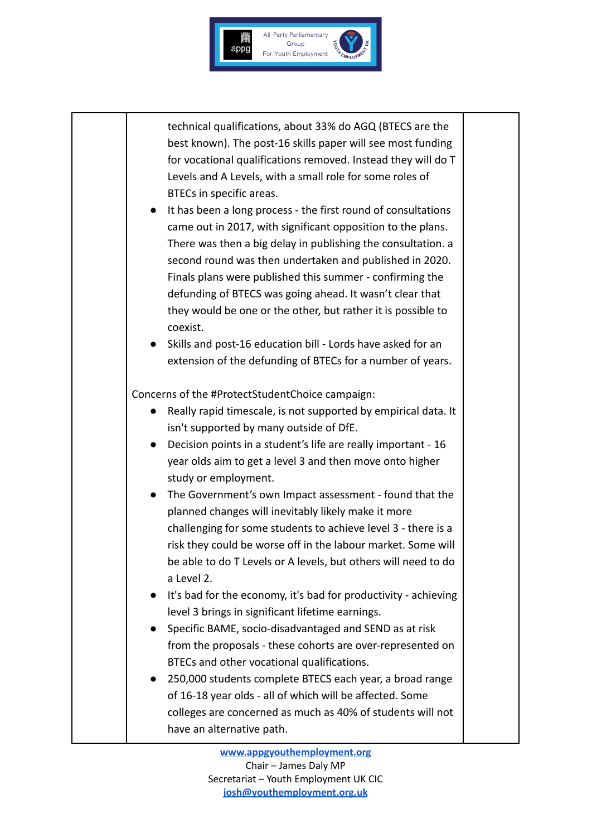

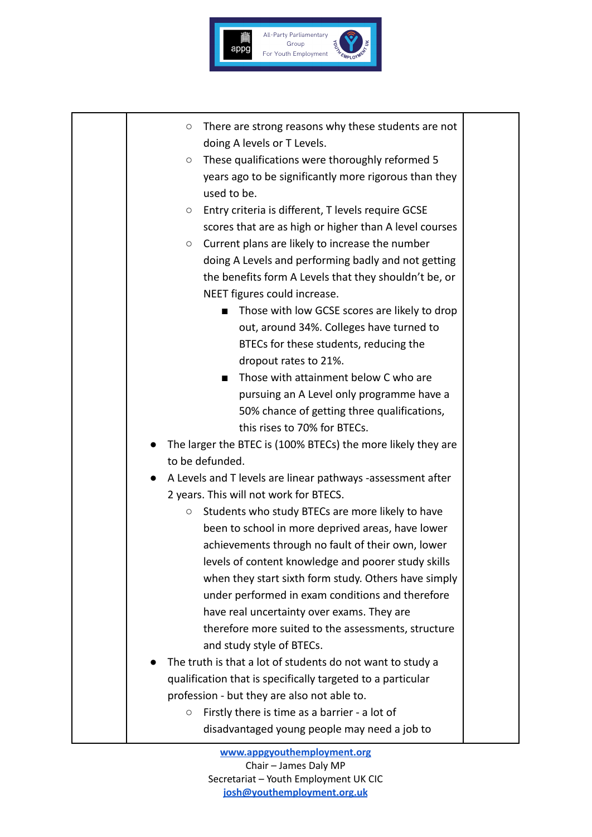

| $\circ$ There are strong reasons why these students are not |
|-------------------------------------------------------------|
| doing A levels or T Levels.                                 |

- These qualifications were thoroughly reformed 5 years ago to be significantly more rigorous than they used to be.
- Entry criteria is different, T levels require GCSE scores that are as high or higher than A level courses
- Current plans are likely to increase the number doing A Levels and performing badly and not getting the benefits form A Levels that they shouldn't be, or NEET figures could increase.
	- Those with low GCSE scores are likely to drop out, around 34%. Colleges have turned to BTECs for these students, reducing the dropout rates to 21%.
	- Those with attainment below C who are pursuing an A Level only programme have a 50% chance of getting three qualifications, this rises to 70% for BTECs.
- The larger the BTEC is (100% BTECs) the more likely they are to be defunded.
- A Levels and T levels are linear pathways -assessment after 2 years. This will not work for BTECS.
	- Students who study BTECs are more likely to have been to school in more deprived areas, have lower achievements through no fault of their own, lower levels of content knowledge and poorer study skills when they start sixth form study. Others have simply under performed in exam conditions and therefore have real uncertainty over exams. They are therefore more suited to the assessments, structure and study style of BTECs.
- The truth is that a lot of students do not want to study a qualification that is specifically targeted to a particular profession - but they are also not able to.
	- Firstly there is time as a barrier a lot of disadvantaged young people may need a job to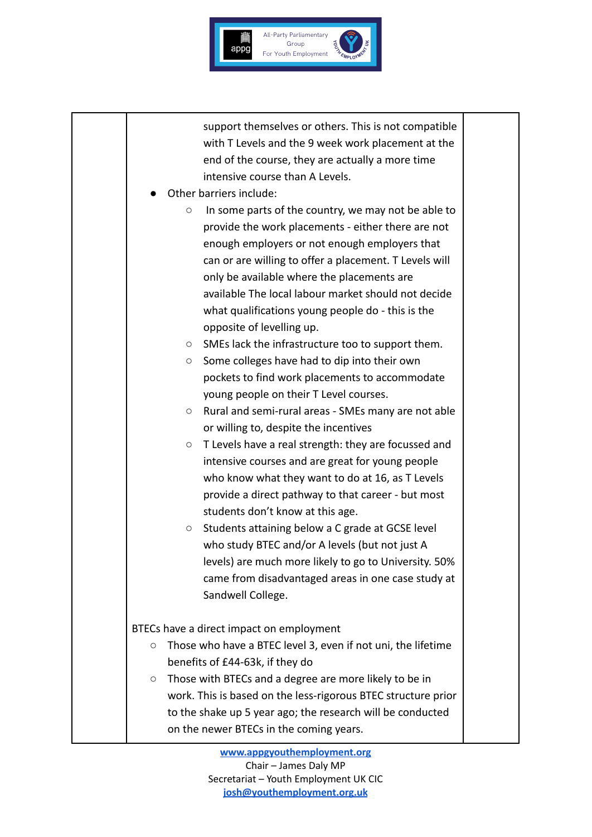

support themselves or others. This is not compatible with T Levels and the 9 week work placement at the end of the course, they are actually a more time intensive course than A Levels.

- Other barriers include:
	- In some parts of the country, we may not be able to provide the work placements - either there are not enough employers or not enough employers that can or are willing to offer a placement. T Levels will only be available where the placements are available The local labour market should not decide what qualifications young people do - this is the opposite of levelling up.
	- SMEs lack the infrastructure too to support them.
	- Some colleges have had to dip into their own pockets to find work placements to accommodate young people on their T Level courses.
	- Rural and semi-rural areas SMEs many are not able or willing to, despite the incentives
	- T Levels have a real strength: they are focussed and intensive courses and are great for young people who know what they want to do at 16, as T Levels provide a direct pathway to that career - but most students don't know at this age.
	- Students attaining below a C grade at GCSE level who study BTEC and/or A levels (but not just A levels) are much more likely to go to University. 50% came from disadvantaged areas in one case study at Sandwell College.

BTECs have a direct impact on employment

- Those who have a BTEC level 3, even if not uni, the lifetime benefits of £44-63k, if they do
- Those with BTECs and a degree are more likely to be in work. This is based on the less-rigorous BTEC structure prior to the shake up 5 year ago; the research will be conducted on the newer BTECs in the coming years.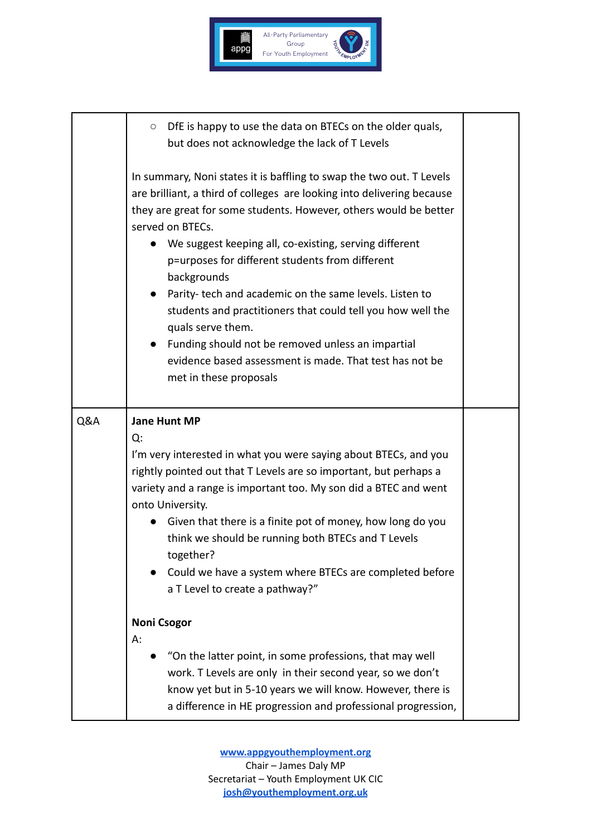

|                                                                                                                                       | DfE is happy to use the data on BTECs on the older quals,<br>$\circ$<br>but does not acknowledge the lack of T Levels                                                                                                                                                                                                                                                                                                                                                                                                                                                                                                                                                    |  |  |
|---------------------------------------------------------------------------------------------------------------------------------------|--------------------------------------------------------------------------------------------------------------------------------------------------------------------------------------------------------------------------------------------------------------------------------------------------------------------------------------------------------------------------------------------------------------------------------------------------------------------------------------------------------------------------------------------------------------------------------------------------------------------------------------------------------------------------|--|--|
|                                                                                                                                       | In summary, Noni states it is baffling to swap the two out. T Levels<br>are brilliant, a third of colleges are looking into delivering because<br>they are great for some students. However, others would be better<br>served on BTECs.<br>We suggest keeping all, co-existing, serving different<br>p=urposes for different students from different<br>backgrounds<br>Parity-tech and academic on the same levels. Listen to<br>students and practitioners that could tell you how well the<br>quals serve them.<br>Funding should not be removed unless an impartial<br>$\bullet$<br>evidence based assessment is made. That test has not be<br>met in these proposals |  |  |
| Q&A                                                                                                                                   | <b>Jane Hunt MP</b>                                                                                                                                                                                                                                                                                                                                                                                                                                                                                                                                                                                                                                                      |  |  |
| Q:                                                                                                                                    |                                                                                                                                                                                                                                                                                                                                                                                                                                                                                                                                                                                                                                                                          |  |  |
| I'm very interested in what you were saying about BTECs, and you<br>rightly pointed out that T Levels are so important, but perhaps a |                                                                                                                                                                                                                                                                                                                                                                                                                                                                                                                                                                                                                                                                          |  |  |
| variety and a range is important too. My son did a BTEC and went                                                                      |                                                                                                                                                                                                                                                                                                                                                                                                                                                                                                                                                                                                                                                                          |  |  |
|                                                                                                                                       | onto University.                                                                                                                                                                                                                                                                                                                                                                                                                                                                                                                                                                                                                                                         |  |  |
|                                                                                                                                       | Given that there is a finite pot of money, how long do you<br>think we should be running both BTECs and T Levels                                                                                                                                                                                                                                                                                                                                                                                                                                                                                                                                                         |  |  |
|                                                                                                                                       | together?                                                                                                                                                                                                                                                                                                                                                                                                                                                                                                                                                                                                                                                                |  |  |
|                                                                                                                                       | Could we have a system where BTECs are completed before<br>a T Level to create a pathway?"                                                                                                                                                                                                                                                                                                                                                                                                                                                                                                                                                                               |  |  |
|                                                                                                                                       | <b>Noni Csogor</b>                                                                                                                                                                                                                                                                                                                                                                                                                                                                                                                                                                                                                                                       |  |  |
|                                                                                                                                       | А:<br>"On the latter point, in some professions, that may well                                                                                                                                                                                                                                                                                                                                                                                                                                                                                                                                                                                                           |  |  |
|                                                                                                                                       | work. T Levels are only in their second year, so we don't                                                                                                                                                                                                                                                                                                                                                                                                                                                                                                                                                                                                                |  |  |
|                                                                                                                                       | know yet but in 5-10 years we will know. However, there is<br>a difference in HE progression and professional progression,                                                                                                                                                                                                                                                                                                                                                                                                                                                                                                                                               |  |  |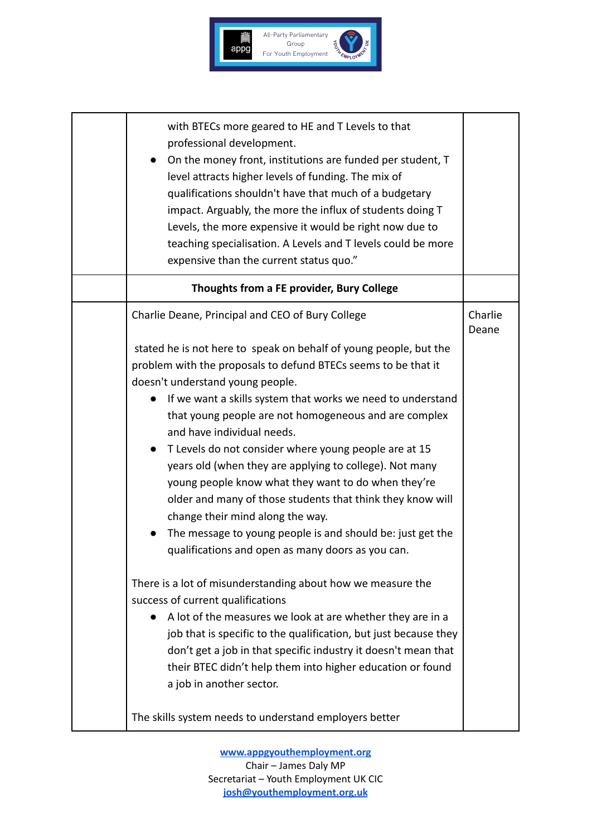

| with BTECs more geared to HE and T Levels to that<br>professional development.<br>On the money front, institutions are funded per student, T<br>level attracts higher levels of funding. The mix of<br>qualifications shouldn't have that much of a budgetary<br>impact. Arguably, the more the influx of students doing T<br>Levels, the more expensive it would be right now due to<br>teaching specialisation. A Levels and T levels could be more<br>expensive than the current status quo." |                  |
|--------------------------------------------------------------------------------------------------------------------------------------------------------------------------------------------------------------------------------------------------------------------------------------------------------------------------------------------------------------------------------------------------------------------------------------------------------------------------------------------------|------------------|
| Thoughts from a FE provider, Bury College                                                                                                                                                                                                                                                                                                                                                                                                                                                        |                  |
| Charlie Deane, Principal and CEO of Bury College                                                                                                                                                                                                                                                                                                                                                                                                                                                 | Charlie<br>Deane |
| stated he is not here to speak on behalf of young people, but the                                                                                                                                                                                                                                                                                                                                                                                                                                |                  |
| problem with the proposals to defund BTECs seems to be that it                                                                                                                                                                                                                                                                                                                                                                                                                                   |                  |
| doesn't understand young people.                                                                                                                                                                                                                                                                                                                                                                                                                                                                 |                  |
| If we want a skills system that works we need to understand                                                                                                                                                                                                                                                                                                                                                                                                                                      |                  |
| that young people are not homogeneous and are complex                                                                                                                                                                                                                                                                                                                                                                                                                                            |                  |
| and have individual needs.                                                                                                                                                                                                                                                                                                                                                                                                                                                                       |                  |
| T Levels do not consider where young people are at 15<br>$\bullet$                                                                                                                                                                                                                                                                                                                                                                                                                               |                  |
| years old (when they are applying to college). Not many<br>young people know what they want to do when they're                                                                                                                                                                                                                                                                                                                                                                                   |                  |
| older and many of those students that think they know will                                                                                                                                                                                                                                                                                                                                                                                                                                       |                  |
| change their mind along the way.                                                                                                                                                                                                                                                                                                                                                                                                                                                                 |                  |
| The message to young people is and should be: just get the                                                                                                                                                                                                                                                                                                                                                                                                                                       |                  |
| qualifications and open as many doors as you can.                                                                                                                                                                                                                                                                                                                                                                                                                                                |                  |
|                                                                                                                                                                                                                                                                                                                                                                                                                                                                                                  |                  |
| There is a lot of misunderstanding about how we measure the                                                                                                                                                                                                                                                                                                                                                                                                                                      |                  |
| success of current qualifications                                                                                                                                                                                                                                                                                                                                                                                                                                                                |                  |
| A lot of the measures we look at are whether they are in a                                                                                                                                                                                                                                                                                                                                                                                                                                       |                  |
| job that is specific to the qualification, but just because they                                                                                                                                                                                                                                                                                                                                                                                                                                 |                  |
| don't get a job in that specific industry it doesn't mean that<br>their BTEC didn't help them into higher education or found                                                                                                                                                                                                                                                                                                                                                                     |                  |
| a job in another sector.                                                                                                                                                                                                                                                                                                                                                                                                                                                                         |                  |
|                                                                                                                                                                                                                                                                                                                                                                                                                                                                                                  |                  |
| The skills system needs to understand employers better                                                                                                                                                                                                                                                                                                                                                                                                                                           |                  |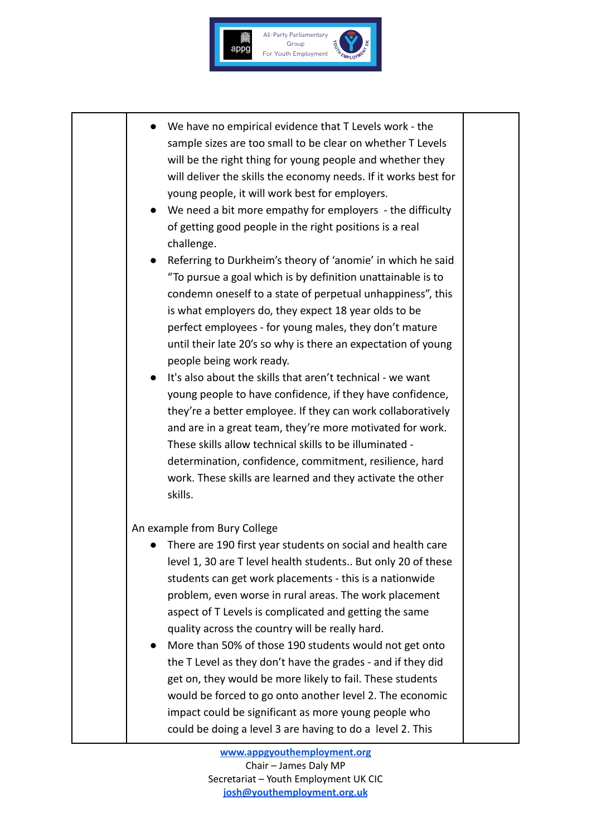

- We have no empirical evidence that T Levels work the sample sizes are too small to be clear on whether T Levels will be the right thing for young people and whether they will deliver the skills the economy needs. If it works best for young people, it will work best for employers.
- We need a bit more empathy for employers the difficulty of getting good people in the right positions is a real challenge.
- Referring to Durkheim's theory of 'anomie' in which he said "To pursue a goal which is by definition unattainable is to condemn oneself to a state of perpetual unhappiness", this is what employers do, they expect 18 year olds to be perfect employees - for young males, they don't mature until their late 20's so why is there an expectation of young people being work ready.
- It's also about the skills that aren't technical we want young people to have confidence, if they have confidence, they're a better employee. If they can work collaboratively and are in a great team, they're more motivated for work. These skills allow technical skills to be illuminated determination, confidence, commitment, resilience, hard work. These skills are learned and they activate the other skills.

#### An example from Bury College

- There are 190 first year students on social and health care level 1, 30 are T level health students.. But only 20 of these students can get work placements - this is a nationwide problem, even worse in rural areas. The work placement aspect of T Levels is complicated and getting the same quality across the country will be really hard.
- More than 50% of those 190 students would not get onto the T Level as they don't have the grades - and if they did get on, they would be more likely to fail. These students would be forced to go onto another level 2. The economic impact could be significant as more young people who could be doing a level 3 are having to do a level 2. This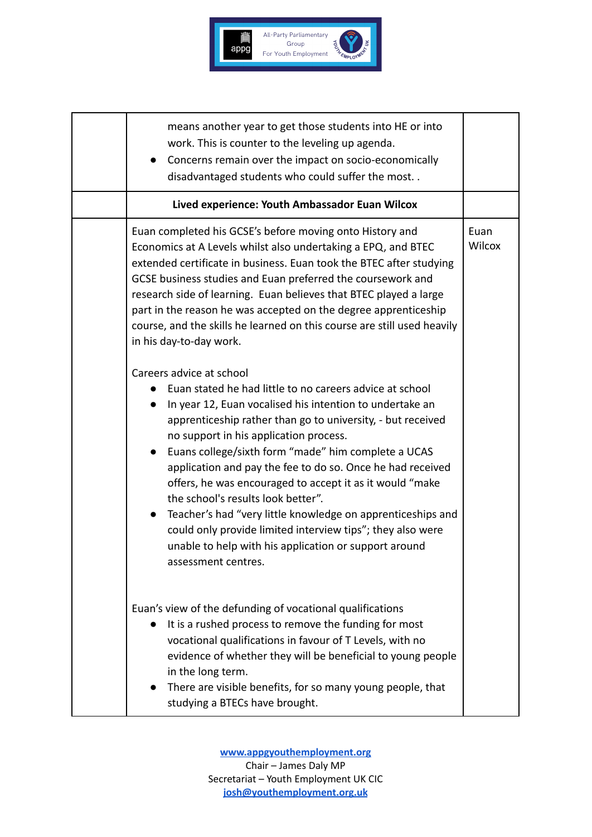

| means another year to get those students into HE or into<br>work. This is counter to the leveling up agenda.<br>Concerns remain over the impact on socio-economically<br>disadvantaged students who could suffer the most                                                                                                                                                                                                                                                                                                                                                                                                                                                                                               |                       |  |
|-------------------------------------------------------------------------------------------------------------------------------------------------------------------------------------------------------------------------------------------------------------------------------------------------------------------------------------------------------------------------------------------------------------------------------------------------------------------------------------------------------------------------------------------------------------------------------------------------------------------------------------------------------------------------------------------------------------------------|-----------------------|--|
| Lived experience: Youth Ambassador Euan Wilcox                                                                                                                                                                                                                                                                                                                                                                                                                                                                                                                                                                                                                                                                          |                       |  |
| Euan completed his GCSE's before moving onto History and<br>Economics at A Levels whilst also undertaking a EPQ, and BTEC<br>extended certificate in business. Euan took the BTEC after studying<br>GCSE business studies and Euan preferred the coursework and<br>research side of learning. Euan believes that BTEC played a large<br>part in the reason he was accepted on the degree apprenticeship<br>course, and the skills he learned on this course are still used heavily<br>in his day-to-day work.                                                                                                                                                                                                           | Euan<br><b>Wilcox</b> |  |
| Careers advice at school<br>Euan stated he had little to no careers advice at school<br>In year 12, Euan vocalised his intention to undertake an<br>apprenticeship rather than go to university, - but received<br>no support in his application process.<br>Euans college/sixth form "made" him complete a UCAS<br>$\bullet$<br>application and pay the fee to do so. Once he had received<br>offers, he was encouraged to accept it as it would "make<br>the school's results look better".<br>Teacher's had "very little knowledge on apprenticeships and<br>$\bullet$<br>could only provide limited interview tips"; they also were<br>unable to help with his application or support around<br>assessment centres. |                       |  |
| Euan's view of the defunding of vocational qualifications<br>It is a rushed process to remove the funding for most<br>vocational qualifications in favour of T Levels, with no<br>evidence of whether they will be beneficial to young people<br>in the long term.<br>There are visible benefits, for so many young people, that<br>studying a BTECs have brought.                                                                                                                                                                                                                                                                                                                                                      |                       |  |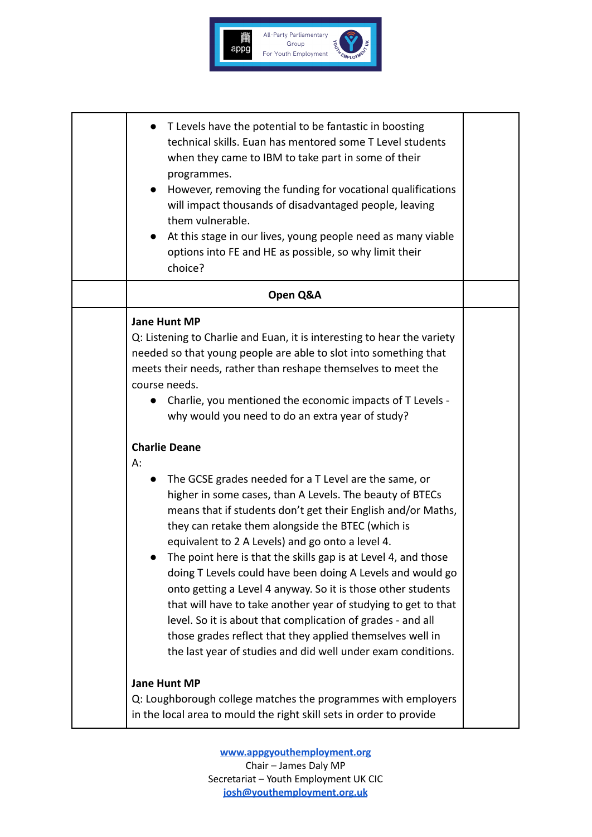

| T Levels have the potential to be fantastic in boosting<br>technical skills. Euan has mentored some T Level students<br>when they came to IBM to take part in some of their<br>programmes.<br>However, removing the funding for vocational qualifications<br>will impact thousands of disadvantaged people, leaving<br>them vulnerable.<br>At this stage in our lives, young people need as many viable<br>$\bullet$<br>options into FE and HE as possible, so why limit their<br>choice?                                                                                                                                                                                                                                                                                                                                                                                                                                                                                                                                                                                                                                                                       |  |  |  |
|-----------------------------------------------------------------------------------------------------------------------------------------------------------------------------------------------------------------------------------------------------------------------------------------------------------------------------------------------------------------------------------------------------------------------------------------------------------------------------------------------------------------------------------------------------------------------------------------------------------------------------------------------------------------------------------------------------------------------------------------------------------------------------------------------------------------------------------------------------------------------------------------------------------------------------------------------------------------------------------------------------------------------------------------------------------------------------------------------------------------------------------------------------------------|--|--|--|
| Open Q&A                                                                                                                                                                                                                                                                                                                                                                                                                                                                                                                                                                                                                                                                                                                                                                                                                                                                                                                                                                                                                                                                                                                                                        |  |  |  |
| <b>Jane Hunt MP</b><br>Q: Listening to Charlie and Euan, it is interesting to hear the variety<br>needed so that young people are able to slot into something that<br>meets their needs, rather than reshape themselves to meet the<br>course needs.<br>Charlie, you mentioned the economic impacts of T Levels -<br>why would you need to do an extra year of study?<br><b>Charlie Deane</b><br>А:<br>The GCSE grades needed for a T Level are the same, or<br>higher in some cases, than A Levels. The beauty of BTECs<br>means that if students don't get their English and/or Maths,<br>they can retake them alongside the BTEC (which is<br>equivalent to 2 A Levels) and go onto a level 4.<br>The point here is that the skills gap is at Level 4, and those<br>doing T Levels could have been doing A Levels and would go<br>onto getting a Level 4 anyway. So it is those other students<br>that will have to take another year of studying to get to that<br>level. So it is about that complication of grades - and all<br>those grades reflect that they applied themselves well in<br>the last year of studies and did well under exam conditions. |  |  |  |
| <b>Jane Hunt MP</b><br>Q: Loughborough college matches the programmes with employers<br>in the local area to mould the right skill sets in order to provide                                                                                                                                                                                                                                                                                                                                                                                                                                                                                                                                                                                                                                                                                                                                                                                                                                                                                                                                                                                                     |  |  |  |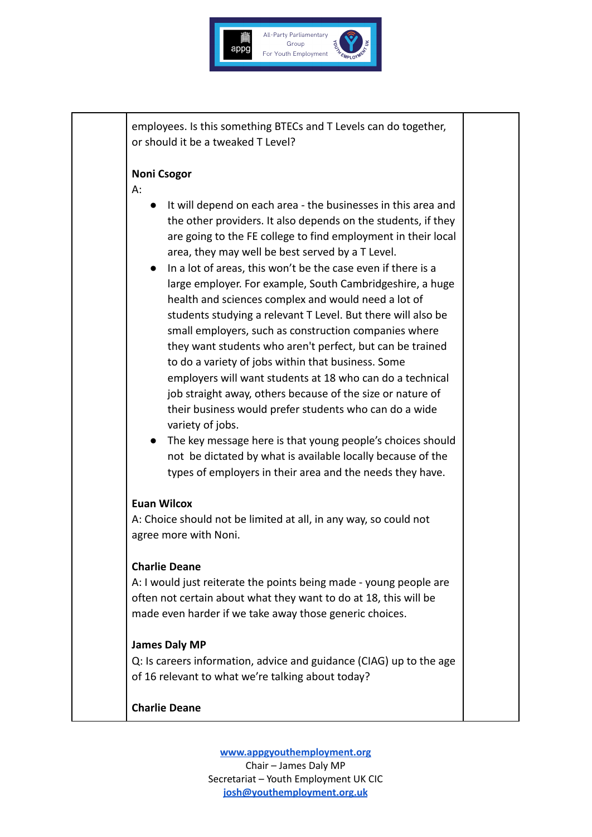

employees. Is this something BTECs and T Levels can do together, or should it be a tweaked T Level?

#### **Noni Csogor**

A:

- It will depend on each area the businesses in this area and the other providers. It also depends on the students, if they are going to the FE college to find employment in their local area, they may well be best served by a T Level.
- In a lot of areas, this won't be the case even if there is a large employer. For example, South Cambridgeshire, a huge health and sciences complex and would need a lot of students studying a relevant T Level. But there will also be small employers, such as construction companies where they want students who aren't perfect, but can be trained to do a variety of jobs within that business. Some employers will want students at 18 who can do a technical job straight away, others because of the size or nature of their business would prefer students who can do a wide variety of jobs.
- The key message here is that young people's choices should not be dictated by what is available locally because of the types of employers in their area and the needs they have.

#### **Euan Wilcox**

A: Choice should not be limited at all, in any way, so could not agree more with Noni.

#### **Charlie Deane**

A: I would just reiterate the points being made - young people are often not certain about what they want to do at 18, this will be made even harder if we take away those generic choices.

#### **James Daly MP**

Q: Is careers information, advice and guidance (CIAG) up to the age of 16 relevant to what we're talking about today?

#### **Charlie Deane**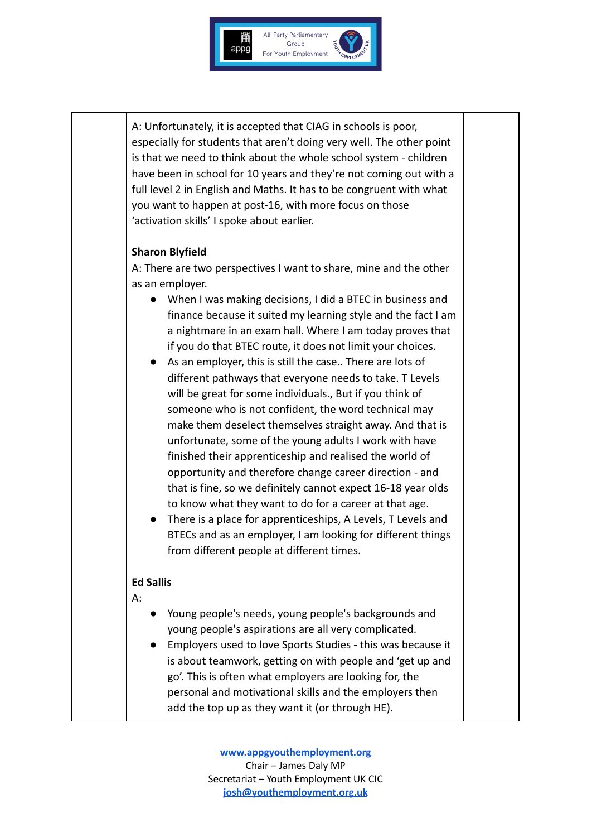

A: Unfortunately, it is accepted that CIAG in schools is poor, especially for students that aren't doing very well. The other point is that we need to think about the whole school system - children have been in school for 10 years and they're not coming out with a full level 2 in English and Maths. It has to be congruent with what you want to happen at post-16, with more focus on those 'activation skills' I spoke about earlier.

#### **Sharon Blyfield**

A: There are two perspectives I want to share, mine and the other as an employer.

- When I was making decisions, I did a BTEC in business and finance because it suited my learning style and the fact I am a nightmare in an exam hall. Where I am today proves that if you do that BTEC route, it does not limit your choices.
- As an employer, this is still the case.. There are lots of different pathways that everyone needs to take. T Levels will be great for some individuals., But if you think of someone who is not confident, the word technical may make them deselect themselves straight away. And that is unfortunate, some of the young adults I work with have finished their apprenticeship and realised the world of opportunity and therefore change career direction - and that is fine, so we definitely cannot expect 16-18 year olds to know what they want to do for a career at that age.
- There is a place for apprenticeships, A Levels, T Levels and BTECs and as an employer, I am looking for different things from different people at different times.

#### **Ed Sallis**

 $\mathsf{A}$ 

- Young people's needs, young people's backgrounds and young people's aspirations are all very complicated.
- Employers used to love Sports Studies this was because it is about teamwork, getting on with people and 'get up and go'. This is often what employers are looking for, the personal and motivational skills and the employers then add the top up as they want it (or through HE).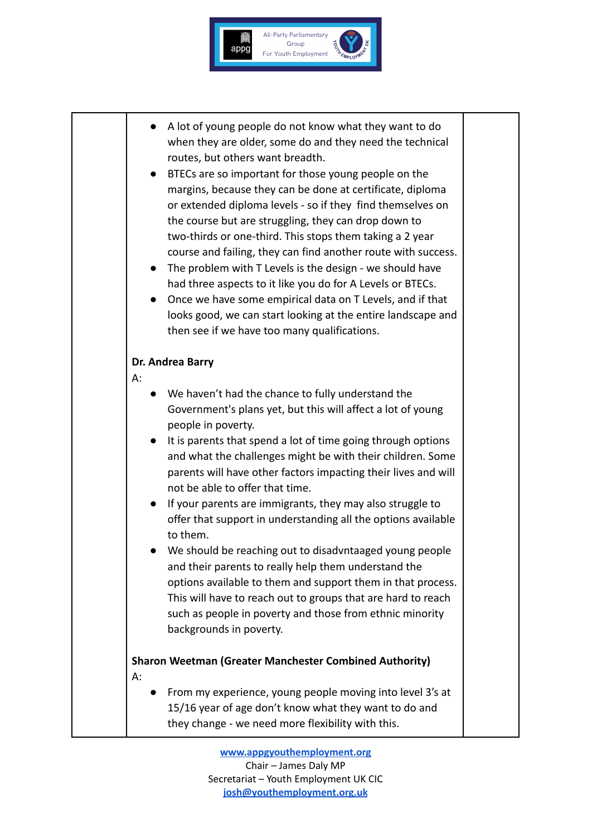

- A lot of young people do not know what they want to do when they are older, some do and they need the technical routes, but others want breadth.
- BTECs are so important for those young people on the margins, because they can be done at certificate, diploma or extended diploma levels - so if they find themselves on the course but are struggling, they can drop down to two-thirds or one-third. This stops them taking a 2 year course and failing, they can find another route with success.
- The problem with T Levels is the design we should have had three aspects to it like you do for A Levels or BTECs.
- Once we have some empirical data on T Levels, and if that looks good, we can start looking at the entire landscape and then see if we have too many qualifications.

## **Dr. Andrea Barry**

## A:

- We haven't had the chance to fully understand the Government's plans yet, but this will affect a lot of young people in poverty.
- It is parents that spend a lot of time going through options and what the challenges might be with their children. Some parents will have other factors impacting their lives and will not be able to offer that time.
- If your parents are immigrants, they may also struggle to offer that support in understanding all the options available to them.
- We should be reaching out to disadvntaaged young people and their parents to really help them understand the options available to them and support them in that process. This will have to reach out to groups that are hard to reach such as people in poverty and those from ethnic minority backgrounds in poverty.

# **Sharon Weetman (Greater Manchester Combined Authority)** A:

● From my experience, young people moving into level 3's at 15/16 year of age don't know what they want to do and they change - we need more flexibility with this.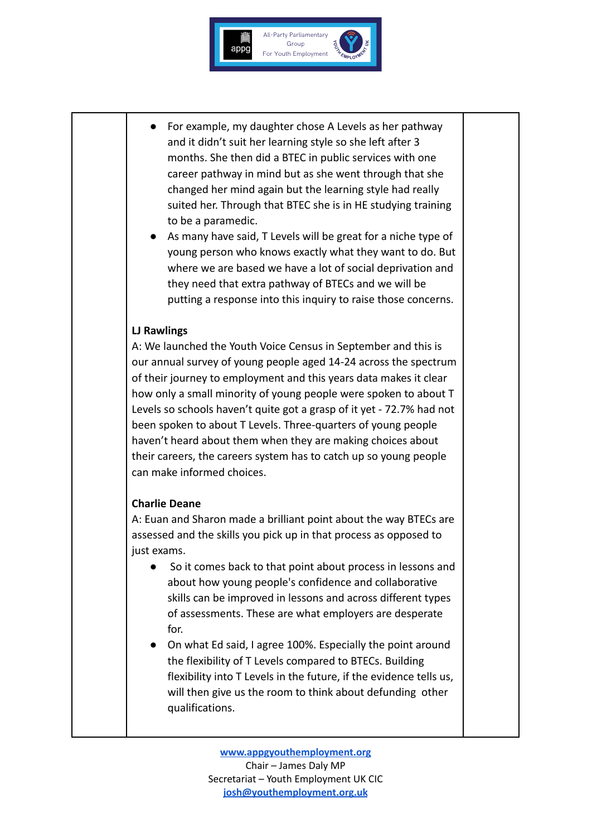

- For example, my daughter chose A Levels as her pathway and it didn't suit her learning style so she left after 3 months. She then did a BTEC in public services with one career pathway in mind but as she went through that she changed her mind again but the learning style had really suited her. Through that BTEC she is in HE studying training to be a paramedic.
- As many have said, T Levels will be great for a niche type of young person who knows exactly what they want to do. But where we are based we have a lot of social deprivation and they need that extra pathway of BTECs and we will be putting a response into this inquiry to raise those concerns.

#### **LJ Rawlings**

A: We launched the Youth Voice Census in September and this is our annual survey of young people aged 14-24 across the spectrum of their journey to employment and this years data makes it clear how only a small minority of young people were spoken to about T Levels so schools haven't quite got a grasp of it yet - 72.7% had not been spoken to about T Levels. Three-quarters of young people haven't heard about them when they are making choices about their careers, the careers system has to catch up so young people can make informed choices.

#### **Charlie Deane**

A: Euan and Sharon made a brilliant point about the way BTECs are assessed and the skills you pick up in that process as opposed to just exams.

- So it comes back to that point about process in lessons and about how young people's confidence and collaborative skills can be improved in lessons and across different types of assessments. These are what employers are desperate for.
- On what Ed said, I agree 100%. Especially the point around the flexibility of T Levels compared to BTECs. Building flexibility into T Levels in the future, if the evidence tells us, will then give us the room to think about defunding other qualifications.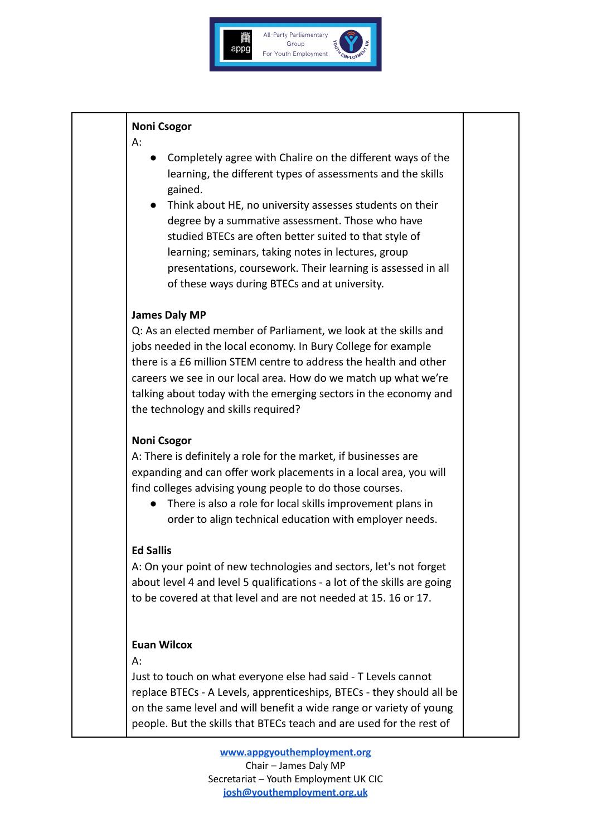

#### **Noni Csogor**

A:

- Completely agree with Chalire on the different ways of the learning, the different types of assessments and the skills gained.
- Think about HE, no university assesses students on their degree by a summative assessment. Those who have studied BTECs are often better suited to that style of learning; seminars, taking notes in lectures, group presentations, coursework. Their learning is assessed in all of these ways during BTECs and at university.

### **James Daly MP**

Q: As an elected member of Parliament, we look at the skills and jobs needed in the local economy. In Bury College for example there is a £6 million STEM centre to address the health and other careers we see in our local area. How do we match up what we're talking about today with the emerging sectors in the economy and the technology and skills required?

## **Noni Csogor**

A: There is definitely a role for the market, if businesses are expanding and can offer work placements in a local area, you will find colleges advising young people to do those courses.

● There is also a role for local skills improvement plans in order to align technical education with employer needs.

## **Ed Sallis**

A: On your point of new technologies and sectors, let's not forget about level 4 and level 5 qualifications - a lot of the skills are going to be covered at that level and are not needed at 15. 16 or 17.

## **Euan Wilcox**

A:

Just to touch on what everyone else had said - T Levels cannot replace BTECs - A Levels, apprenticeships, BTECs - they should all be on the same level and will benefit a wide range or variety of young people. But the skills that BTECs teach and are used for the rest of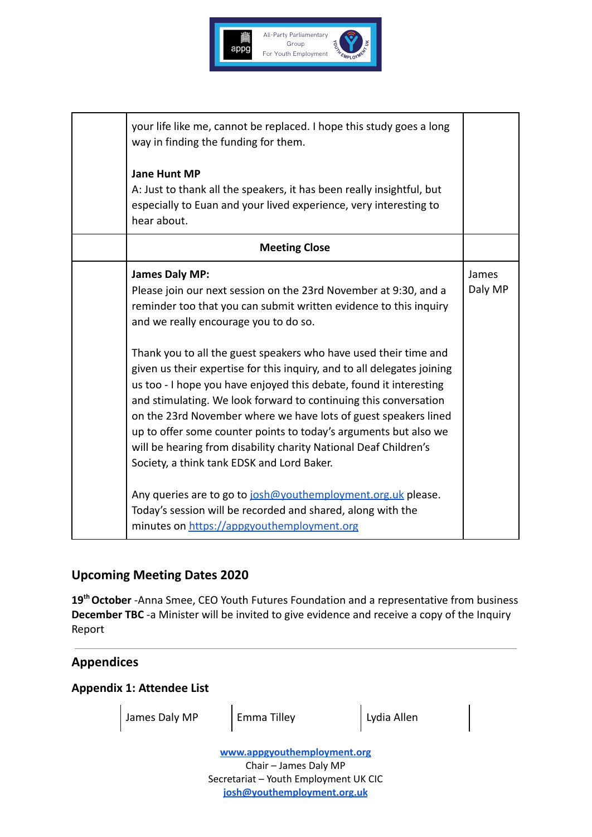

| your life like me, cannot be replaced. I hope this study goes a long<br>way in finding the funding for them.<br><b>Jane Hunt MP</b>                                                                                                                                                                                                                                                                                                                                                                                                                                                                                                                                                                                                                       |                         |
|-----------------------------------------------------------------------------------------------------------------------------------------------------------------------------------------------------------------------------------------------------------------------------------------------------------------------------------------------------------------------------------------------------------------------------------------------------------------------------------------------------------------------------------------------------------------------------------------------------------------------------------------------------------------------------------------------------------------------------------------------------------|-------------------------|
| A: Just to thank all the speakers, it has been really insightful, but<br>especially to Euan and your lived experience, very interesting to<br>hear about.                                                                                                                                                                                                                                                                                                                                                                                                                                                                                                                                                                                                 |                         |
| <b>Meeting Close</b>                                                                                                                                                                                                                                                                                                                                                                                                                                                                                                                                                                                                                                                                                                                                      |                         |
| <b>James Daly MP:</b><br>Please join our next session on the 23rd November at 9:30, and a<br>reminder too that you can submit written evidence to this inquiry<br>and we really encourage you to do so.<br>Thank you to all the guest speakers who have used their time and<br>given us their expertise for this inquiry, and to all delegates joining<br>us too - I hope you have enjoyed this debate, found it interesting<br>and stimulating. We look forward to continuing this conversation<br>on the 23rd November where we have lots of guest speakers lined<br>up to offer some counter points to today's arguments but also we<br>will be hearing from disability charity National Deaf Children's<br>Society, a think tank EDSK and Lord Baker. | <b>James</b><br>Daly MP |
| Any queries are to go to josh@youthemployment.org.uk please.<br>Today's session will be recorded and shared, along with the<br>minutes on https://appgyouthemployment.org                                                                                                                                                                                                                                                                                                                                                                                                                                                                                                                                                                                 |                         |

## **Upcoming Meeting Dates 2020**

**19thOctober** -Anna Smee, CEO Youth Futures Foundation and a representative from business **December TBC** -a Minister will be invited to give evidence and receive a copy of the Inquiry Report

# **Appendices**

#### **Appendix 1: Attendee List**

James Daly MP | Emma Tilley | Lydia Allen

**[www.appgyouthemployment.org](http://www.appgyouthemployment.org)** Chair – James Daly MP Secretariat – Youth Employment UK CIC **[josh@youthemployment.org.uk](mailto:josh@youthemployment.org.uk)**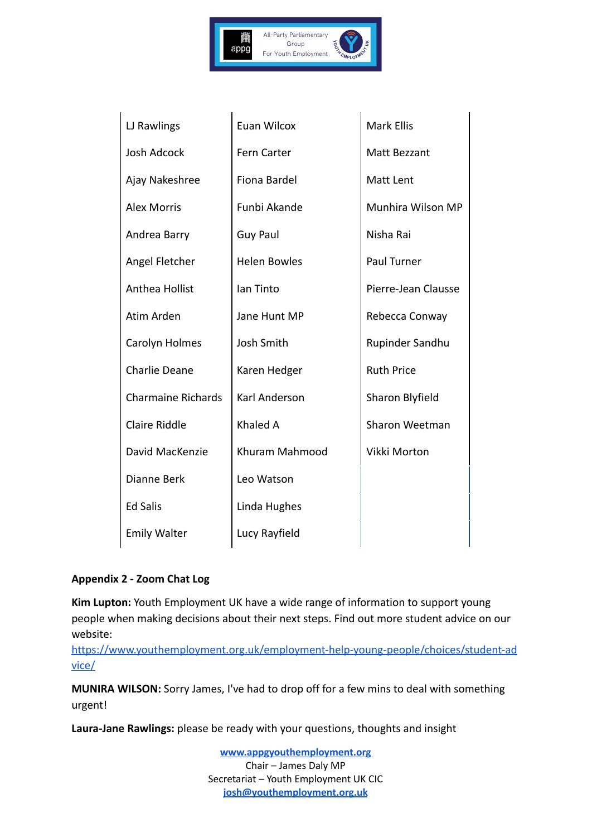

| LJ Rawlings               | Euan Wilcox         | Mark Ellis          |
|---------------------------|---------------------|---------------------|
| <b>Josh Adcock</b>        | Fern Carter         | Matt Bezzant        |
| Ajay Nakeshree            | Fiona Bardel        | Matt Lent           |
| <b>Alex Morris</b>        | Funbi Akande        | Munhira Wilson MP   |
| Andrea Barry              | <b>Guy Paul</b>     | Nisha Rai           |
| Angel Fletcher            | <b>Helen Bowles</b> | Paul Turner         |
| Anthea Hollist            | lan Tinto           | Pierre-Jean Clausse |
| Atim Arden                | Jane Hunt MP        | Rebecca Conway      |
| Carolyn Holmes            | Josh Smith          | Rupinder Sandhu     |
| <b>Charlie Deane</b>      | Karen Hedger        | <b>Ruth Price</b>   |
| <b>Charmaine Richards</b> | Karl Anderson       | Sharon Blyfield     |
| <b>Claire Riddle</b>      | Khaled A            | Sharon Weetman      |
| David MacKenzie           | Khuram Mahmood      | Vikki Morton        |
| Dianne Berk               | Leo Watson          |                     |
| <b>Ed Salis</b>           | Linda Hughes        |                     |
| <b>Emily Walter</b>       | Lucy Rayfield       |                     |
|                           |                     |                     |

#### **Appendix 2 - Zoom Chat Log**

**Kim Lupton:** Youth Employment UK have a wide range of information to support young people when making decisions about their next steps. Find out more student advice on our website:

[https://www.youthemployment.org.uk/employment-help-young-people/choices/student-ad](https://www.youthemployment.org.uk/employment-help-young-people/choices/student-advice/) [vice/](https://www.youthemployment.org.uk/employment-help-young-people/choices/student-advice/)

**MUNIRA WILSON:** Sorry James, I've had to drop off for a few mins to deal with something urgent!

**Laura-Jane Rawlings:** please be ready with your questions, thoughts and insight

**[www.appgyouthemployment.org](http://www.appgyouthemployment.org)** Chair – James Daly MP Secretariat – Youth Employment UK CIC **[josh@youthemployment.org.uk](mailto:josh@youthemployment.org.uk)**